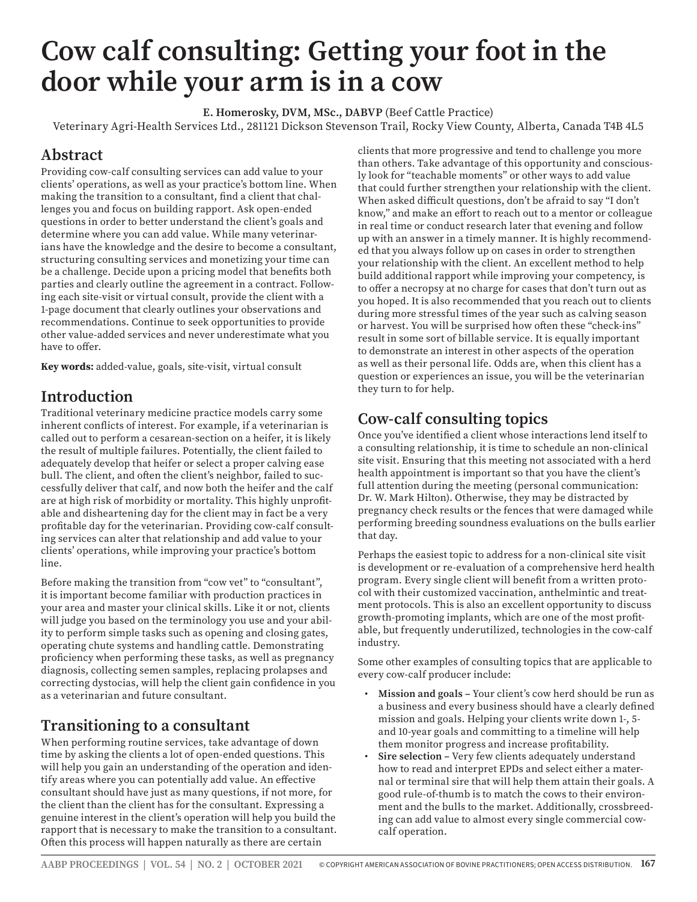# **Cow calf consulting: Getting your foot in the door while your arm is in a cow**

**E. Homerosky, DVM, MSc., DABVP** (Beef Cattle Practice)

Veterinary Agri-Health Services Ltd., 281121 Dickson Stevenson Trail, Rocky View County, Alberta, Canada T4B 4L5

#### **Abstract**

Providing cow-calf consulting services can add value to your clients' operations, as well as your practice's bottom line. When making the transition to a consultant, find a client that challenges you and focus on building rapport. Ask open-ended questions in order to better understand the client's goals and determine where you can add value. While many veterinarians have the knowledge and the desire to become a consultant, structuring consulting services and monetizing your time can be a challenge. Decide upon a pricing model that benefits both parties and clearly outline the agreement in a contract. Following each site-visit or virtual consult, provide the client with a 1-page document that clearly outlines your observations and recommendations. Continue to seek opportunities to provide other value-added services and never underestimate what you have to offer.

**Key words:** added-value, goals, site-visit, virtual consult

#### **Introduction**

Traditional veterinary medicine practice models carry some inherent conflicts of interest. For example, if a veterinarian is called out to perform a cesarean-section on a heifer, it is likely the result of multiple failures. Potentially, the client failed to adequately develop that heifer or select a proper calving ease bull. The client, and often the client's neighbor, failed to successfully deliver that calf, and now both the heifer and the calf are at high risk of morbidity or mortality. This highly unprofitable and disheartening day for the client may in fact be a very profitable day for the veterinarian. Providing cow-calf consulting services can alter that relationship and add value to your clients' operations, while improving your practice's bottom line.

Before making the transition from "cow vet" to "consultant", it is important become familiar with production practices in your area and master your clinical skills. Like it or not, clients will judge you based on the terminology you use and your ability to perform simple tasks such as opening and closing gates, operating chute systems and handling cattle. Demonstrating proficiency when performing these tasks, as well as pregnancy diagnosis, collecting semen samples, replacing prolapses and correcting dystocias, will help the client gain confidence in you as a veterinarian and future consultant.

## **Transitioning to a consultant**

When performing routine services, take advantage of down time by asking the clients a lot of open-ended questions. This will help you gain an understanding of the operation and identify areas where you can potentially add value. An effective consultant should have just as many questions, if not more, for the client than the client has for the consultant. Expressing a genuine interest in the client's operation will help you build the rapport that is necessary to make the transition to a consultant. Often this process will happen naturally as there are certain

clients that more progressive and tend to challenge you more than others. Take advantage of this opportunity and consciously look for "teachable moments" or other ways to add value that could further strengthen your relationship with the client. When asked difficult questions, don't be afraid to say "I don't know," and make an effort to reach out to a mentor or colleague in real time or conduct research later that evening and follow up with an answer in a timely manner. It is highly recommended that you always follow up on cases in order to strengthen your relationship with the client. An excellent method to help build additional rapport while improving your competency, is to offer a necropsy at no charge for cases that don't turn out as you hoped. It is also recommended that you reach out to clients during more stressful times of the year such as calving season or harvest. You will be surprised how often these "check-ins" result in some sort of billable service. It is equally important to demonstrate an interest in other aspects of the operation as well as their personal life. Odds are, when this client has a question or experiences an issue, you will be the veterinarian they turn to for help.

## **Cow-calf consulting topics**

Once you've identified a client whose interactions lend itself to a consulting relationship, it is time to schedule an non-clinical site visit. Ensuring that this meeting not associated with a herd health appointment is important so that you have the client's full attention during the meeting (personal communication: Dr. W. Mark Hilton). Otherwise, they may be distracted by pregnancy check results or the fences that were damaged while performing breeding soundness evaluations on the bulls earlier that day.

Perhaps the easiest topic to address for a non-clinical site visit is development or re-evaluation of a comprehensive herd health program. Every single client will benefit from a written protocol with their customized vaccination, anthelmintic and treatment protocols. This is also an excellent opportunity to discuss growth-promoting implants, which are one of the most profitable, but frequently underutilized, technologies in the cow-calf industry.

Some other examples of consulting topics that are applicable to every cow-calf producer include:

- **Mission and goals** Your client's cow herd should be run as a business and every business should have a clearly defined mission and goals. Helping your clients write down 1-, 5 and 10-year goals and committing to a timeline will help them monitor progress and increase profitability.
- **Sire selection** Very few clients adequately understand how to read and interpret EPDs and select either a maternal or terminal sire that will help them attain their goals. A good rule-of-thumb is to match the cows to their environment and the bulls to the market. Additionally, crossbreeding can add value to almost every single commercial cowcalf operation.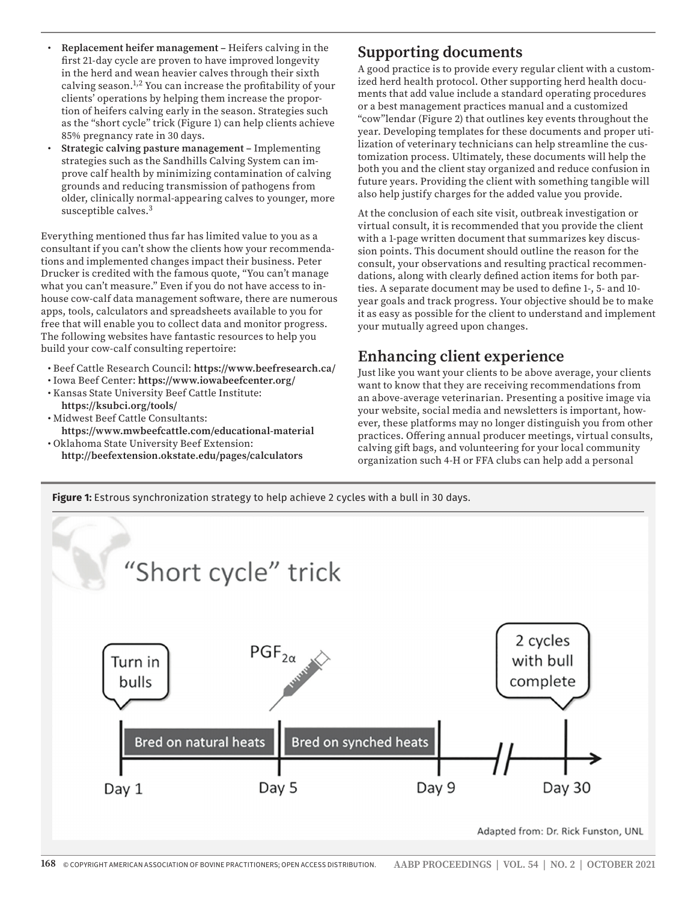- **Replacement heifer management** Heifers calving in the first 21-day cycle are proven to have improved longevity in the herd and wean heavier calves through their sixth calving season.1,2 You can increase the profitability of your clients' operations by helping them increase the proportion of heifers calving early in the season. Strategies such as the "short cycle" trick (Figure 1) can help clients achieve 85% pregnancy rate in 30 days.
- **Strategic calving pasture management –** Implementing strategies such as the Sandhills Calving System can improve calf health by minimizing contamination of calving grounds and reducing transmission of pathogens from older, clinically normal-appearing calves to younger, more susceptible calves.3

Everything mentioned thus far has limited value to you as a consultant if you can't show the clients how your recommendations and implemented changes impact their business. Peter Drucker is credited with the famous quote, "You can't manage what you can't measure." Even if you do not have access to inhouse cow-calf data management software, there are numerous apps, tools, calculators and spreadsheets available to you for free that will enable you to collect data and monitor progress. The following websites have fantastic resources to help you build your cow-calf consulting repertoire:

- Beef Cattle Research Council: **https://www.beefresearch.ca/**
- Iowa Beef Center: **https://www.iowabeefcenter.org/** • Kansas State University Beef Cattle Institute:
- **https://ksubci.org/tools/** • Midwest Beef Cattle Consultants:
- **https://www.mwbeefcattle.com/educational-material** • Oklahoma State University Beef Extension:
- **http://beefextension.okstate.edu/pages/calculators**

#### **Supporting documents**

A good practice is to provide every regular client with a customized herd health protocol. Other supporting herd health documents that add value include a standard operating procedures or a best management practices manual and a customized "cow"lendar (Figure 2) that outlines key events throughout the year. Developing templates for these documents and proper utilization of veterinary technicians can help streamline the customization process. Ultimately, these documents will help the both you and the client stay organized and reduce confusion in future years. Providing the client with something tangible will also help justify charges for the added value you provide.

At the conclusion of each site visit, outbreak investigation or virtual consult, it is recommended that you provide the client with a 1-page written document that summarizes key discussion points. This document should outline the reason for the consult, your observations and resulting practical recommendations, along with clearly defined action items for both parties. A separate document may be used to define 1-, 5- and 10 year goals and track progress. Your objective should be to make it as easy as possible for the client to understand and implement your mutually agreed upon changes.

# **Enhancing client experience**

Just like you want your clients to be above average, your clients want to know that they are receiving recommendations from an above-average veterinarian. Presenting a positive image via your website, social media and newsletters is important, however, these platforms may no longer distinguish you from other practices. Offering annual producer meetings, virtual consults, calving gift bags, and volunteering for your local community organization such 4-H or FFA clubs can help add a personal



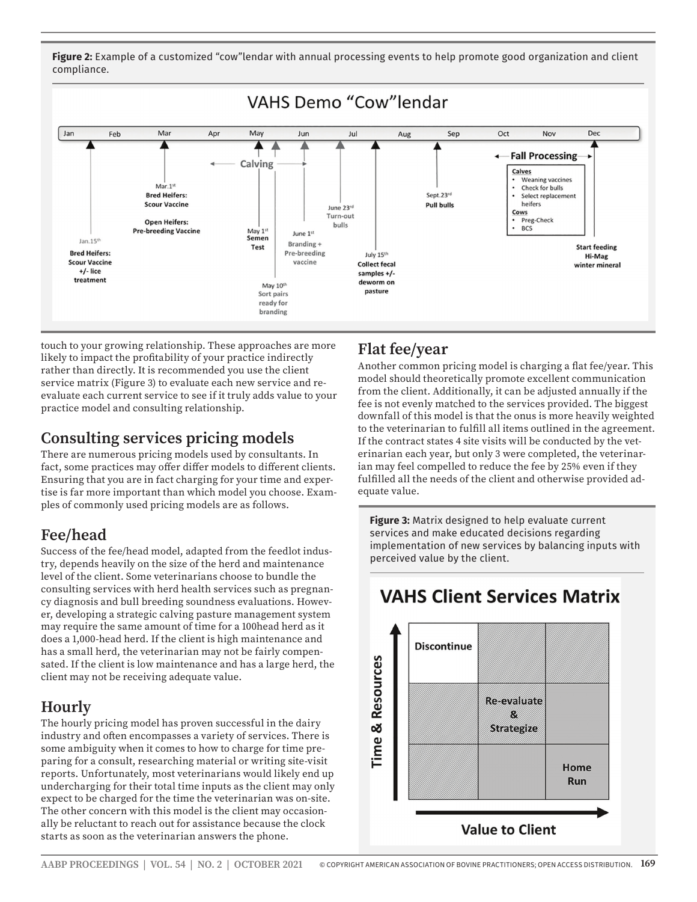**Figure 2:** Example of a customized "cow"lendar with annual processing events to help promote good organization and client compliance.



touch to your growing relationship. These approaches are more likely to impact the profitability of your practice indirectly rather than directly. It is recommended you use the client service matrix (Figure 3) to evaluate each new service and reevaluate each current service to see if it truly adds value to your practice model and consulting relationship.

#### **Consulting services pricing models**

There are numerous pricing models used by consultants. In fact, some practices may offer differ models to different clients. Ensuring that you are in fact charging for your time and expertise is far more important than which model you choose. Examples of commonly used pricing models are as follows.

## **Fee/head**

Success of the fee/head model, adapted from the feedlot industry, depends heavily on the size of the herd and maintenance level of the client. Some veterinarians choose to bundle the consulting services with herd health services such as pregnancy diagnosis and bull breeding soundness evaluations. However, developing a strategic calving pasture management system may require the same amount of time for a 100head herd as it does a 1,000-head herd. If the client is high maintenance and has a small herd, the veterinarian may not be fairly compensated. If the client is low maintenance and has a large herd, the client may not be receiving adequate value.

# **Hourly**

The hourly pricing model has proven successful in the dairy industry and often encompasses a variety of services. There is some ambiguity when it comes to how to charge for time preparing for a consult, researching material or writing site-visit reports. Unfortunately, most veterinarians would likely end up undercharging for their total time inputs as the client may only expect to be charged for the time the veterinarian was on-site. The other concern with this model is the client may occasionally be reluctant to reach out for assistance because the clock starts as soon as the veterinarian answers the phone.

## **Flat fee/year**

Another common pricing model is charging a flat fee/year. This model should theoretically promote excellent communication from the client. Additionally, it can be adjusted annually if the fee is not evenly matched to the services provided. The biggest downfall of this model is that the onus is more heavily weighted to the veterinarian to fulfill all items outlined in the agreement. If the contract states 4 site visits will be conducted by the veterinarian each year, but only 3 were completed, the veterinarian may feel compelled to reduce the fee by 25% even if they fulfilled all the needs of the client and otherwise provided adequate value.

**Figure 3:** Matrix designed to help evaluate current services and make educated decisions regarding implementation of new services by balancing inputs with perceived value by the client.



# **VAHS Client Services Matrix**